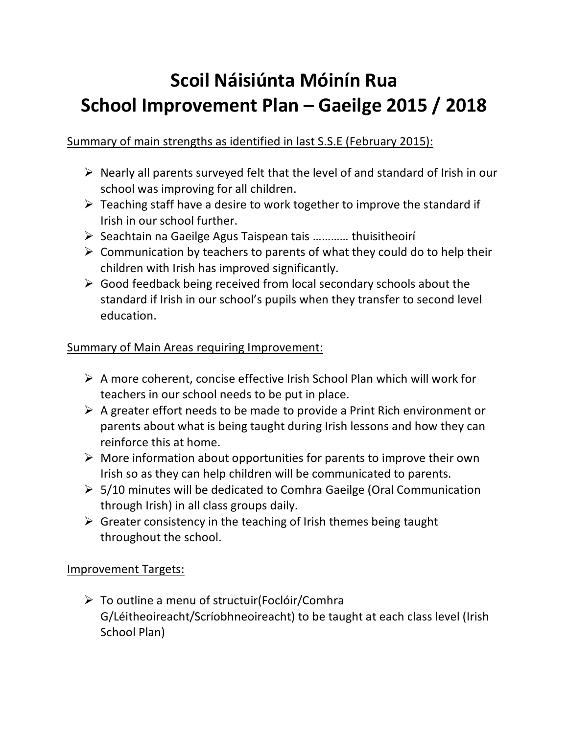# **Scoil Náisiúnta Móinín Rua School Improvement Plan – Gaeilge 2015 / 2018**

## Summary of main strengths as identified in last S.S.E (February 2015):

- $\triangleright$  Nearly all parents surveyed felt that the level of and standard of Irish in our school was improving for all children.
- $\triangleright$  Teaching staff have a desire to work together to improve the standard if Irish in our school further.
- Ø Seachtain na Gaeilge Agus Taispean tais ………… thuisitheoirí
- $\triangleright$  Communication by teachers to parents of what they could do to help their children with Irish has improved significantly.
- $\triangleright$  Good feedback being received from local secondary schools about the standard if Irish in our school's pupils when they transfer to second level education.

### Summary of Main Areas requiring Improvement:

- $\triangleright$  A more coherent, concise effective Irish School Plan which will work for teachers in our school needs to be put in place.
- $\triangleright$  A greater effort needs to be made to provide a Print Rich environment or parents about what is being taught during Irish lessons and how they can reinforce this at home.
- $\triangleright$  More information about opportunities for parents to improve their own Irish so as they can help children will be communicated to parents.
- $\geq$  5/10 minutes will be dedicated to Comhra Gaeilge (Oral Communication through Irish) in all class groups daily.
- $\triangleright$  Greater consistency in the teaching of Irish themes being taught throughout the school.

#### Improvement Targets:

 $\triangleright$  To outline a menu of structuir(Foclóir/Comhra G/Léitheoireacht/Scríobhneoireacht) to be taught at each class level (Irish School Plan)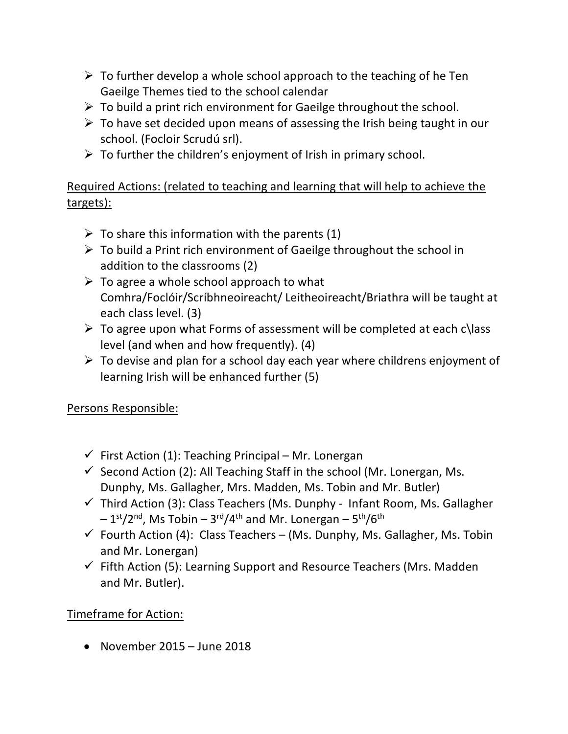- $\triangleright$  To further develop a whole school approach to the teaching of he Ten Gaeilge Themes tied to the school calendar
- $\triangleright$  To build a print rich environment for Gaeilge throughout the school.
- $\triangleright$  To have set decided upon means of assessing the Irish being taught in our school. (Focloir Scrudú srl).
- $\triangleright$  To further the children's enjoyment of Irish in primary school.

Required Actions: (related to teaching and learning that will help to achieve the targets):

- $\triangleright$  To share this information with the parents (1)
- $\triangleright$  To build a Print rich environment of Gaeilge throughout the school in addition to the classrooms (2)
- $\triangleright$  To agree a whole school approach to what Comhra/Foclóir/Scríbhneoireacht/ Leitheoireacht/Briathra will be taught at each class level. (3)
- $\triangleright$  To agree upon what Forms of assessment will be completed at each c\lass level (and when and how frequently). (4)
- $\triangleright$  To devise and plan for a school day each year where childrens enjoyment of learning Irish will be enhanced further (5)

## Persons Responsible:

- $\checkmark$  First Action (1): Teaching Principal Mr. Lonergan
- $\checkmark$  Second Action (2): All Teaching Staff in the school (Mr. Lonergan, Ms. Dunphy, Ms. Gallagher, Mrs. Madden, Ms. Tobin and Mr. Butler)
- $\checkmark$  Third Action (3): Class Teachers (Ms. Dunphy Infant Room, Ms. Gallagher  $-1$ <sup>st</sup>/2<sup>nd</sup>, Ms Tobin – 3<sup>rd</sup>/4<sup>th</sup> and Mr. Lonergan – 5<sup>th</sup>/6<sup>th</sup>
- $\checkmark$  Fourth Action (4): Class Teachers (Ms. Dunphy, Ms. Gallagher, Ms. Tobin and Mr. Lonergan)
- $\checkmark$  Fifth Action (5): Learning Support and Resource Teachers (Mrs. Madden and Mr. Butler).

## Timeframe for Action:

• November 2015 – June 2018